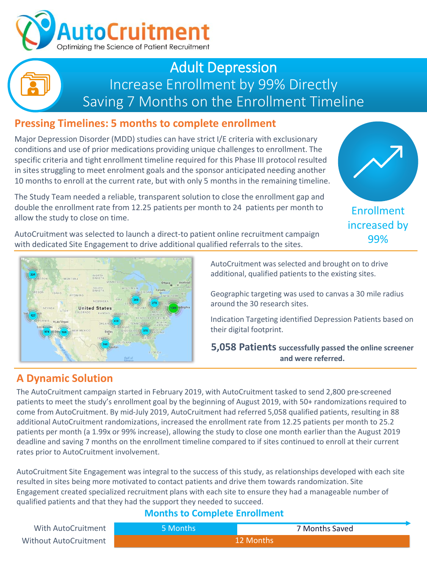

## Adult Depression Increase Enrollment by 99% Directly Saving 7 Months on the Enrollment Timeline

## **Pressing Timelines: 5 months to complete enrollment**

Major Depression Disorder (MDD) studies can have strict I/E criteria with exclusionary conditions and use of prior medications providing unique challenges to enrollment. The specific criteria and tight enrollment timeline required for this Phase III protocol resulted in sites struggling to meet enrolment goals and the sponsor anticipated needing another 10 months to enroll at the current rate, but with only 5 months in the remaining timeline.

The Study Team needed a reliable, transparent solution to close the enrollment gap and double the enrollment rate from 12.25 patients per month to 24 patients per month to allow the study to close on time.

AutoCruitment was selected to launch a direct-to patient online recruitment campaign with dedicated Site Engagement to drive additional qualified referrals to the sites.





AutoCruitment was selected and brought on to drive additional, qualified patients to the existing sites.

Geographic targeting was used to canvas a 30 mile radius around the 30 research sites.

Indication Targeting identified Depression Patients based on their digital footprint.

**5,058 Patients successfully passed the online screener and were referred.**

### **A Dynamic Solution**

The AutoCruitment campaign started in February 2019, with AutoCruitment tasked to send 2,800 pre-screened patients to meet the study's enrollment goal by the beginning of August 2019, with 50+ randomizations required to come from AutoCruitment. By mid-July 2019, AutoCruitment had referred 5,058 qualified patients, resulting in 88 additional AutoCruitment randomizations, increased the enrollment rate from 12.25 patients per month to 25.2 patients per month (a 1.99x or 99% increase), allowing the study to close one month earlier than the August 2019 deadline and saving 7 months on the enrollment timeline compared to if sites continued to enroll at their current rates prior to AutoCruitment involvement.

AutoCruitment Site Engagement was integral to the success of this study, as relationships developed with each site resulted in sites being more motivated to contact patients and drive them towards randomization. Site Engagement created specialized recruitment plans with each site to ensure they had a manageable number of qualified patients and that they had the support they needed to succeed.

#### **Months to Complete Enrollment**

| With AutoCruitment    | ا Months ا | 7 Months Saved |
|-----------------------|------------|----------------|
| Without AutoCruitment | 12 Months  |                |